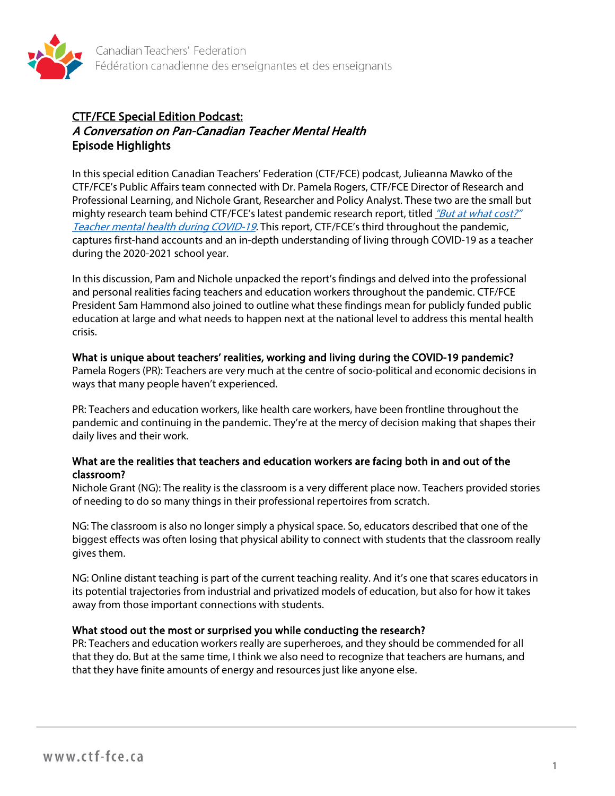

# CTF/FCE Special Edition Podcast: A Conversation on Pan-Canadian Teacher Mental Health Episode Highlights

In this special edition Canadian Teachers' Federation (CTF/FCE) podcast, Julieanna Mawko of the CTF/FCE's Public Affairs team connected with Dr. Pamela Rogers, CTF/FCE Director of Research and Professional Learning, and Nichole Grant, Researcher and Policy Analyst. These two are the small but mighty research team behind CTF/FCE's latest pandemic research report, titled "But at what cost?" [Teacher mental health during COVID-19.](https://documentcloud.adobe.com/link/track?uri=urn:aaid:scds:US:1cc80bf3-6c8e-4060-81e4-7493f178d1af) This report, CTF/FCE's third throughout the pandemic, captures first-hand accounts and an in-depth understanding of living through COVID-19 as a teacher during the 2020-2021 school year.

In this discussion, Pam and Nichole unpacked the report's findings and delved into the professional and personal realities facing teachers and education workers throughout the pandemic. CTF/FCE President Sam Hammond also joined to outline what these findings mean for publicly funded public education at large and what needs to happen next at the national level to address this mental health crisis.

### What is unique about teachers' realities, working and living during the COVID-19 pandemic?

Pamela Rogers (PR): Teachers are very much at the centre of socio-political and economic decisions in ways that many people haven't experienced.

PR: Teachers and education workers, like health care workers, have been frontline throughout the pandemic and continuing in the pandemic. They're at the mercy of decision making that shapes their daily lives and their work.

## What are the realities that teachers and education workers are facing both in and out of the classroom?

Nichole Grant (NG): The reality is the classroom is a very different place now. Teachers provided stories of needing to do so many things in their professional repertoires from scratch.

NG: The classroom is also no longer simply a physical space. So, educators described that one of the biggest effects was often losing that physical ability to connect with students that the classroom really gives them.

NG: Online distant teaching is part of the current teaching reality. And it's one that scares educators in its potential trajectories from industrial and privatized models of education, but also for how it takes away from those important connections with students.

# What stood out the most or surprised you while conducting the research?

PR: Teachers and education workers really are superheroes, and they should be commended for all that they do. But at the same time, I think we also need to recognize that teachers are humans, and that they have finite amounts of energy and resources just like anyone else.